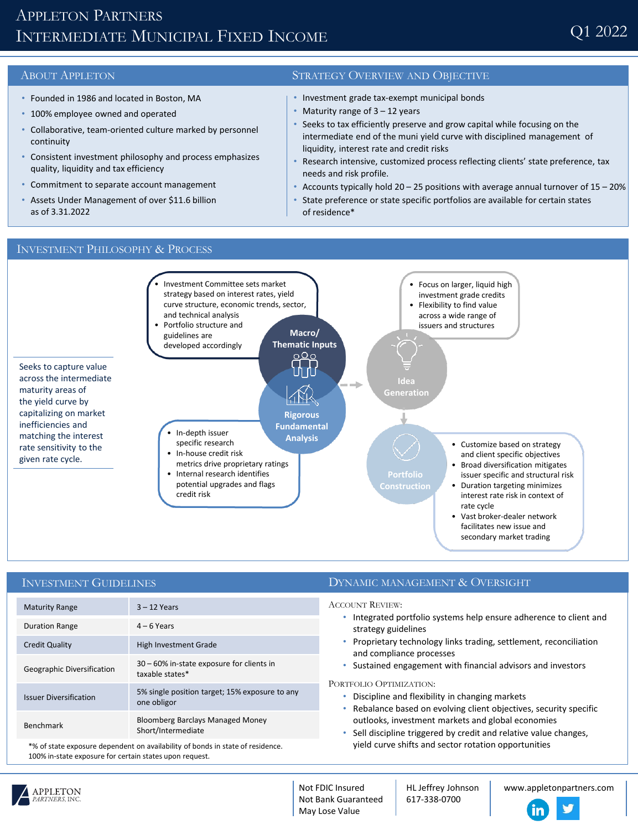# APPLETON PARTNERS INTERMEDIATE MUNICIPAL FIXED INCOME

- Founded in 1986 and located in Boston, MA
- 100% employee owned and operated
- Collaborative, team-oriented culture marked by personnel continuity
- Consistent investment philosophy and process emphasizes quality, liquidity and tax efficiency
- Commitment to separate account management
- Assets Under Management of over \$11.6 billion as of 3.31.2022

## ABOUT APPLETON STRATEGY OVERVIEW AND OBJECTIVE

- Investment grade tax-exempt municipal bonds
- Maturity range of  $3 12$  years
- Seeks to tax efficiently preserve and grow capital while focusing on the intermediate end of the muni yield curve with disciplined management of liquidity, interest rate and credit risks
- Research intensive, customized process reflecting clients' state preference, tax needs and risk profile.
- Accounts typically hold 20 25 positions with average annual turnover of 15 20%
- State preference or state specific portfolios are available for certain states of residence\*



### INVESTMENT GUIDELINES

| <b>Maturity Range</b>         | $3 - 12$ Years                                                |
|-------------------------------|---------------------------------------------------------------|
| <b>Duration Range</b>         | $4 - 6$ Years                                                 |
| <b>Credit Quality</b>         | High Investment Grade                                         |
| Geographic Diversification    | 30 – 60% in-state exposure for clients in<br>taxable states*  |
| <b>Issuer Diversification</b> | 5% single position target; 15% exposure to any<br>one obligor |
| <b>Benchmark</b>              | Bloomberg Barclays Managed Money<br>Short/Intermediate        |

\*% of state exposure dependent on availability of bonds in state of residence. 100% in-state exposure for certain states upon request.

### DYNAMIC MANAGEMENT & OVERSIGHT

ACCOUNT REVIEW:

- Integrated portfolio systems help ensure adherence to client and strategy guidelines
- Proprietary technology links trading, settlement, reconciliation and compliance processes
- Sustained engagement with financial advisors and investors

PORTFOLIO OPTIMIZATION:

- Discipline and flexibility in changing markets
- Rebalance based on evolving client objectives, security specific outlooks, investment markets and global economies
- Sell discipline triggered by credit and relative value changes, yield curve shifts and sector rotation opportunities



Not FDIC Insured Not Bank Guaranteed May Lose Value

HL Jeffrey Johnson 617-338-0700

www.appletonpartners.com

#### INVESTMENT PHILOSOPHY & PROCESS